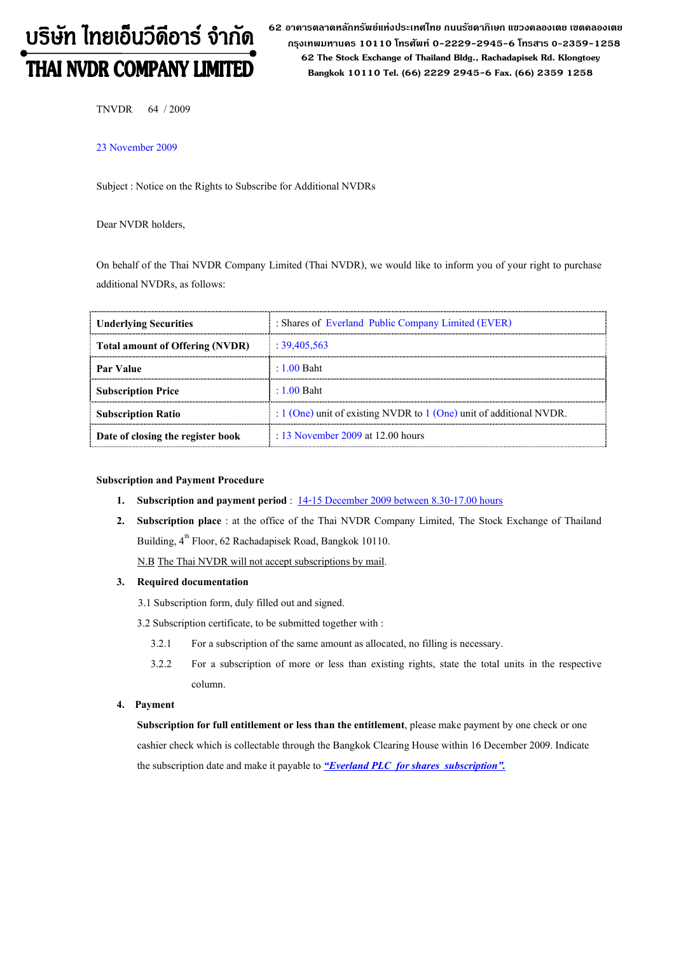# บริษัท ไทยเอ็นวีดีอาร์ จำกัด THAI NVDR COMPANY LIMITED

62 อาดารตลาดหลักทรัพย์แห่งประเทศไทย ถนนรัซดาภิเษก แขวงดลองเตย เขตดลองเตย กรุงเทพมหานดร 10110 โทรศัพท์ 0-2229-2945-6 โทรสาร 0-2359-1258 62 The Stock Exchange of Thailand Bldg., Rachadapisek Rd. Klongtoey Bangkok 10110 Tel. (66) 2229 2945-6 Fax. (66) 2359 1258

TNVDR 64 / 2009

23 November 2009

Subject : Notice on the Rights to Subscribe for Additional NVDRs

Dear NVDR holders,

On behalf of the Thai NVDR Company Limited (Thai NVDR), we would like to inform you of your right to purchase additional NVDRs, as follows:

| <b>Underlying Securities</b>           | : Shares of Everland Public Company Limited (EVER)                  |
|----------------------------------------|---------------------------------------------------------------------|
| <b>Total amount of Offering (NVDR)</b> | : 39,405,563                                                        |
| Par Value                              | $\pm 1.00$ Baht                                                     |
| <b>Subscription Price</b>              | $\pm 1.00$ Baht                                                     |
| <b>Subscription Ratio</b>              | : 1 (One) unit of existing NVDR to 1 (One) unit of additional NVDR. |
| Date of closing the register book      | $\therefore$ 13 November 2009 at 12.00 hours                        |

#### Subscription and Payment Procedure

- 1. Subscription and payment period : 14-15 December 2009 between 8.30-17.00 hours
- 2. Subscription place : at the office of the Thai NVDR Company Limited, The Stock Exchange of Thailand Building, 4<sup>th</sup> Floor, 62 Rachadapisek Road, Bangkok 10110.

N.B The Thai NVDR will not accept subscriptions by mail.

### 3. Required documentation

3.1 Subscription form, duly filled out and signed.

3.2 Subscription certificate, to be submitted together with :

- 3.2.1 For a subscription of the same amount as allocated, no filling is necessary.
- 3.2.2 For a subscription of more or less than existing rights, state the total units in the respective column.

#### 4. Payment

Subscription for full entitlement or less than the entitlement, please make payment by one check or one cashier check which is collectable through the Bangkok Clearing House within 16 December 2009. Indicate the subscription date and make it payable to **"Everland PLC** for shares subscription".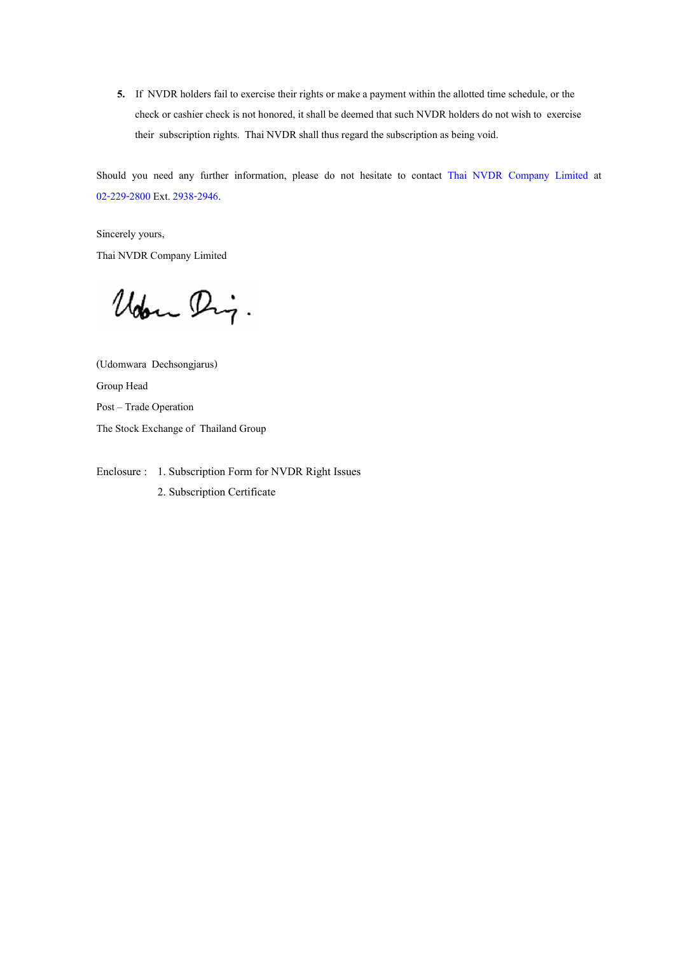5. If NVDR holders fail to exercise their rights or make a payment within the allotted time schedule, or the check or cashier check is not honored, it shall be deemed that such NVDR holders do not wish to exercise their subscription rights. Thai NVDR shall thus regard the subscription as being void.

Should you need any further information, please do not hesitate to contact Thai NVDR Company Limited at 02-229-2800 Ext. 2938-2946.

Sincerely yours, Thai NVDR Company Limited

Uden Dig.

(Udomwara Dechsongjarus) Group Head Post - Trade Operation The Stock Exchange of Thailand Group

Enclosure : 1. Subscription Form for NVDR Right Issues 2. Subscription Certificate